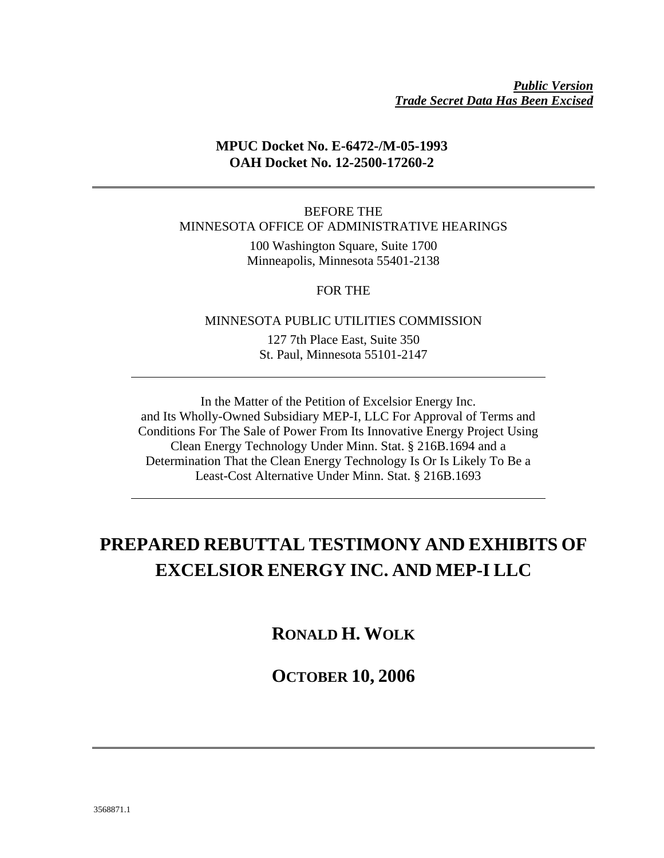### *Public Version Trade Secret Data Has Been Excised*

### **MPUC Docket No. E-6472-/M-05-1993 OAH Docket No. 12-2500-17260-2**

BEFORE THE MINNESOTA OFFICE OF ADMINISTRATIVE HEARINGS

> 100 Washington Square, Suite 1700 Minneapolis, Minnesota 55401-2138

> > FOR THE

MINNESOTA PUBLIC UTILITIES COMMISSION

127 7th Place East, Suite 350 St. Paul, Minnesota 55101-2147

In the Matter of the Petition of Excelsior Energy Inc. and Its Wholly-Owned Subsidiary MEP-I, LLC For Approval of Terms and Conditions For The Sale of Power From Its Innovative Energy Project Using Clean Energy Technology Under Minn. Stat. § 216B.1694 and a Determination That the Clean Energy Technology Is Or Is Likely To Be a Least-Cost Alternative Under Minn. Stat. § 216B.1693

## **PREPARED REBUTTAL TESTIMONY AND EXHIBITS OF EXCELSIOR ENERGY INC. AND MEP-I LLC**

**RONALD H. WOLK** 

**OCTOBER 10, 2006**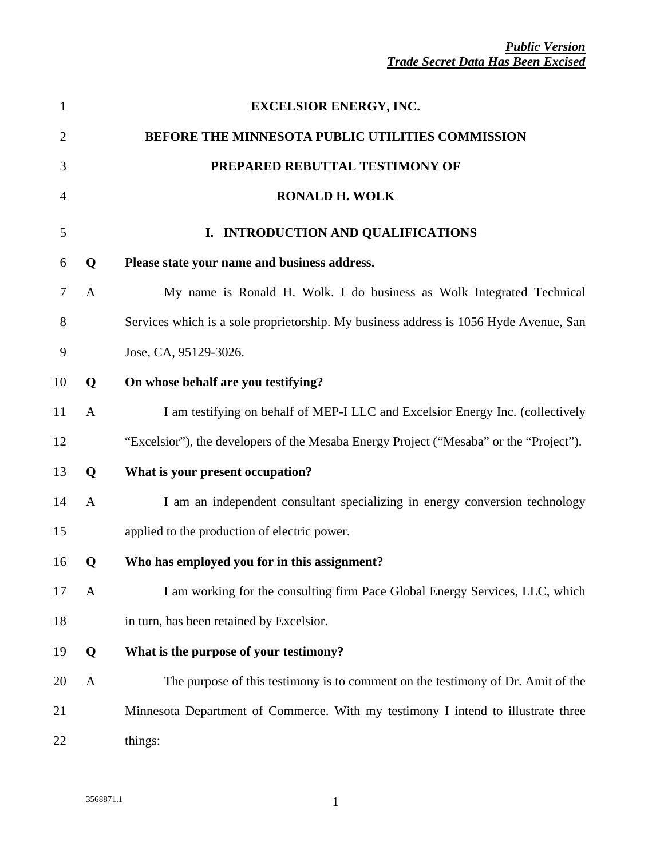| $\mathbf{1}$   |              | <b>EXCELSIOR ENERGY, INC.</b>                                                          |
|----------------|--------------|----------------------------------------------------------------------------------------|
| $\overline{2}$ |              | BEFORE THE MINNESOTA PUBLIC UTILITIES COMMISSION                                       |
| 3              |              | PREPARED REBUTTAL TESTIMONY OF                                                         |
| 4              |              | <b>RONALD H. WOLK</b>                                                                  |
| 5              |              | I. INTRODUCTION AND QUALIFICATIONS                                                     |
| 6              | Q            | Please state your name and business address.                                           |
| 7              | A            | My name is Ronald H. Wolk. I do business as Wolk Integrated Technical                  |
| 8              |              | Services which is a sole proprietorship. My business address is 1056 Hyde Avenue, San  |
| 9              |              | Jose, CA, 95129-3026.                                                                  |
| 10             | Q            | On whose behalf are you testifying?                                                    |
| 11             | $\mathbf{A}$ | I am testifying on behalf of MEP-I LLC and Excelsior Energy Inc. (collectively         |
| 12             |              | "Excelsior"), the developers of the Mesaba Energy Project ("Mesaba" or the "Project"). |
| 13             | Q            | What is your present occupation?                                                       |
| 14             | A            | I am an independent consultant specializing in energy conversion technology            |
| 15             |              | applied to the production of electric power.                                           |
| 16             | Q            | Who has employed you for in this assignment?                                           |
| 17             | $\mathbf{A}$ | I am working for the consulting firm Pace Global Energy Services, LLC, which           |
| 18             |              | in turn, has been retained by Excelsior.                                               |
| 19             | Q            | What is the purpose of your testimony?                                                 |
| 20             | $\mathbf{A}$ | The purpose of this testimony is to comment on the testimony of Dr. Amit of the        |
| 21             |              | Minnesota Department of Commerce. With my testimony I intend to illustrate three       |
| 22             |              | things:                                                                                |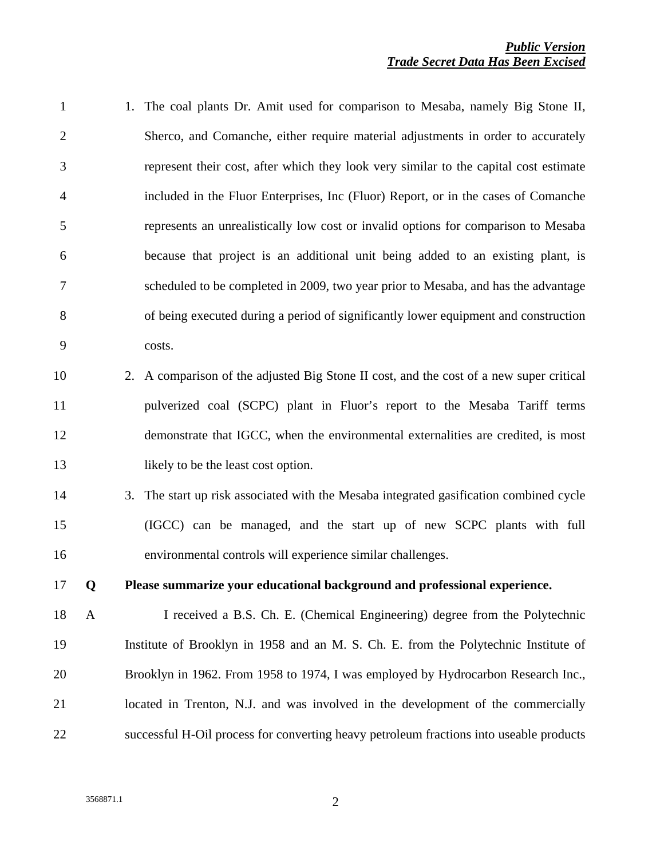1 1. The coal plants Dr. Amit used for comparison to Mesaba, namely Big Stone II, 2 Sherco, and Comanche, either require material adjustments in order to accurately 3 represent their cost, after which they look very similar to the capital cost estimate 4 included in the Fluor Enterprises, Inc (Fluor) Report, or in the cases of Comanche 5 represents an unrealistically low cost or invalid options for comparison to Mesaba 6 because that project is an additional unit being added to an existing plant, is 7 scheduled to be completed in 2009, two year prior to Mesaba, and has the advantage 8 of being executed during a period of significantly lower equipment and construction 9 costs. 10 2. A comparison of the adjusted Big Stone II cost, and the cost of a new super critical 11 pulverized coal (SCPC) plant in Fluor's report to the Mesaba Tariff terms 12 demonstrate that IGCC, when the environmental externalities are credited, is most 13 likely to be the least cost option. 14 3. The start up risk associated with the Mesaba integrated gasification combined cycle 15 (IGCC) can be managed, and the start up of new SCPC plants with full 16 environmental controls will experience similar challenges. 17 **Q Please summarize your educational background and professional experience.**  18 A I received a B.S. Ch. E. (Chemical Engineering) degree from the Polytechnic 19 Institute of Brooklyn in 1958 and an M. S. Ch. E. from the Polytechnic Institute of 20 Brooklyn in 1962. From 1958 to 1974, I was employed by Hydrocarbon Research Inc., 21 located in Trenton, N.J. and was involved in the development of the commercially 22 successful H-Oil process for converting heavy petroleum fractions into useable products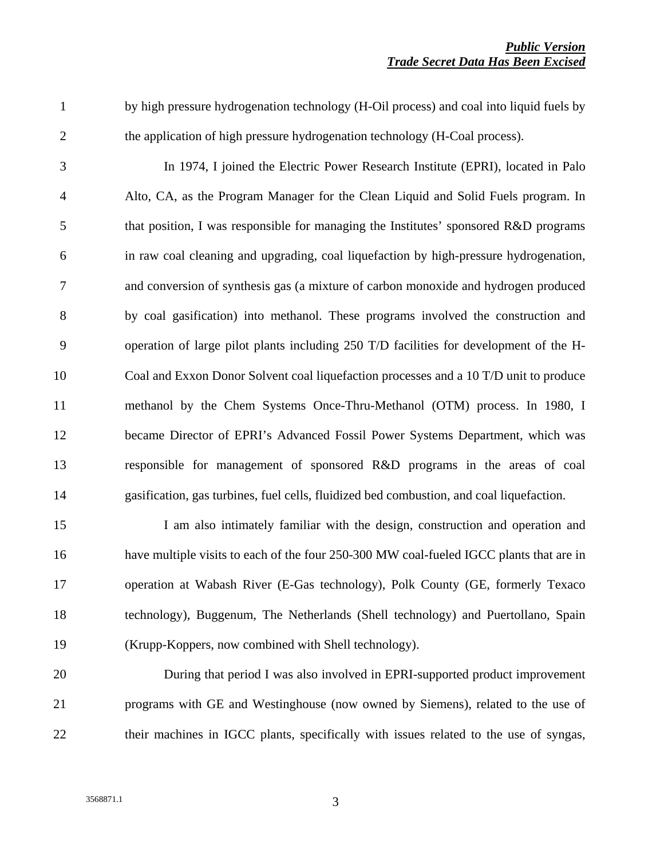1 by high pressure hydrogenation technology (H-Oil process) and coal into liquid fuels by 2 the application of high pressure hydrogenation technology (H-Coal process).

3 In 1974, I joined the Electric Power Research Institute (EPRI), located in Palo 4 Alto, CA, as the Program Manager for the Clean Liquid and Solid Fuels program. In 5 that position, I was responsible for managing the Institutes' sponsored R&D programs 6 in raw coal cleaning and upgrading, coal liquefaction by high-pressure hydrogenation, 7 and conversion of synthesis gas (a mixture of carbon monoxide and hydrogen produced 8 by coal gasification) into methanol. These programs involved the construction and 9 operation of large pilot plants including 250 T/D facilities for development of the H-10 Coal and Exxon Donor Solvent coal liquefaction processes and a 10 T/D unit to produce 11 methanol by the Chem Systems Once-Thru-Methanol (OTM) process. In 1980, I 12 became Director of EPRI's Advanced Fossil Power Systems Department, which was 13 responsible for management of sponsored R&D programs in the areas of coal 14 gasification, gas turbines, fuel cells, fluidized bed combustion, and coal liquefaction.

15 I am also intimately familiar with the design, construction and operation and 16 have multiple visits to each of the four 250-300 MW coal-fueled IGCC plants that are in 17 operation at Wabash River (E-Gas technology), Polk County (GE, formerly Texaco 18 technology), Buggenum, The Netherlands (Shell technology) and Puertollano, Spain 19 (Krupp-Koppers, now combined with Shell technology).

20 During that period I was also involved in EPRI-supported product improvement 21 programs with GE and Westinghouse (now owned by Siemens), related to the use of 22 their machines in IGCC plants, specifically with issues related to the use of syngas,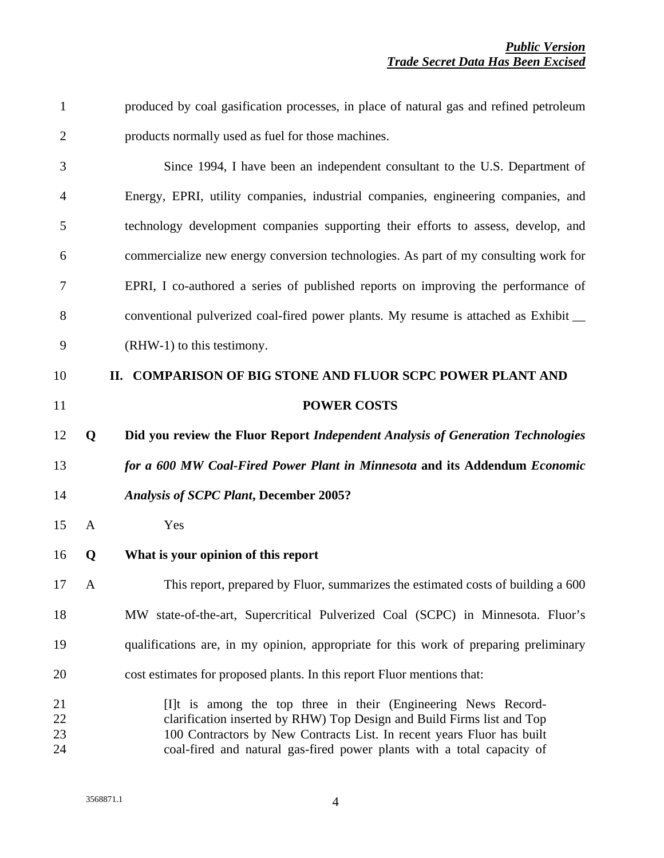| $\mathbf{1}$         |              | produced by coal gasification processes, in place of natural gas and refined petroleum                                                                                                                                                                                                       |
|----------------------|--------------|----------------------------------------------------------------------------------------------------------------------------------------------------------------------------------------------------------------------------------------------------------------------------------------------|
| $\overline{2}$       |              | products normally used as fuel for those machines.                                                                                                                                                                                                                                           |
| 3                    |              | Since 1994, I have been an independent consultant to the U.S. Department of                                                                                                                                                                                                                  |
| 4                    |              | Energy, EPRI, utility companies, industrial companies, engineering companies, and                                                                                                                                                                                                            |
| 5                    |              | technology development companies supporting their efforts to assess, develop, and                                                                                                                                                                                                            |
| 6                    |              | commercialize new energy conversion technologies. As part of my consulting work for                                                                                                                                                                                                          |
| 7                    |              | EPRI, I co-authored a series of published reports on improving the performance of                                                                                                                                                                                                            |
| 8                    |              | conventional pulverized coal-fired power plants. My resume is attached as Exhibit                                                                                                                                                                                                            |
| 9                    |              | (RHW-1) to this testimony.                                                                                                                                                                                                                                                                   |
| 10                   |              | II. COMPARISON OF BIG STONE AND FLUOR SCPC POWER PLANT AND                                                                                                                                                                                                                                   |
| 11                   |              | <b>POWER COSTS</b>                                                                                                                                                                                                                                                                           |
| 12                   | Q            | Did you review the Fluor Report Independent Analysis of Generation Technologies                                                                                                                                                                                                              |
| 13                   |              | for a 600 MW Coal-Fired Power Plant in Minnesota and its Addendum Economic                                                                                                                                                                                                                   |
| 14                   |              | <b>Analysis of SCPC Plant, December 2005?</b>                                                                                                                                                                                                                                                |
| 15                   | $\mathbf{A}$ | Yes                                                                                                                                                                                                                                                                                          |
| 16                   | Q            | What is your opinion of this report                                                                                                                                                                                                                                                          |
| 17                   | A            | This report, prepared by Fluor, summarizes the estimated costs of building a 600                                                                                                                                                                                                             |
| 18                   |              | MW state-of-the-art, Supercritical Pulverized Coal (SCPC) in Minnesota. Fluor's                                                                                                                                                                                                              |
| 19                   |              | qualifications are, in my opinion, appropriate for this work of preparing preliminary                                                                                                                                                                                                        |
| 20                   |              | cost estimates for proposed plants. In this report Fluor mentions that:                                                                                                                                                                                                                      |
| 21<br>22<br>23<br>24 |              | [I]t is among the top three in their (Engineering News Record-<br>clarification inserted by RHW) Top Design and Build Firms list and Top<br>100 Contractors by New Contracts List. In recent years Fluor has built<br>coal-fired and natural gas-fired power plants with a total capacity of |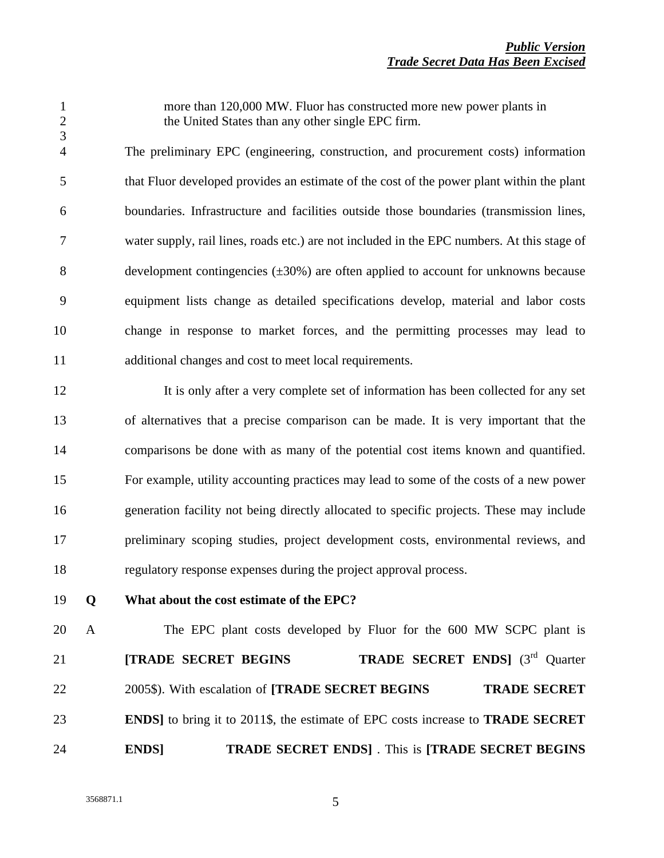3

1 more than 120,000 MW. Fluor has constructed more new power plants in 2 the United States than any other single EPC firm.

4 The preliminary EPC (engineering, construction, and procurement costs) information 5 that Fluor developed provides an estimate of the cost of the power plant within the plant 6 boundaries. Infrastructure and facilities outside those boundaries (transmission lines, 7 water supply, rail lines, roads etc.) are not included in the EPC numbers. At this stage of 8 development contingencies  $(\pm 30\%)$  are often applied to account for unknowns because 9 equipment lists change as detailed specifications develop, material and labor costs 10 change in response to market forces, and the permitting processes may lead to 11 additional changes and cost to meet local requirements.

12 It is only after a very complete set of information has been collected for any set 13 of alternatives that a precise comparison can be made. It is very important that the 14 comparisons be done with as many of the potential cost items known and quantified. 15 For example, utility accounting practices may lead to some of the costs of a new power 16 generation facility not being directly allocated to specific projects. These may include 17 preliminary scoping studies, project development costs, environmental reviews, and 18 regulatory response expenses during the project approval process.

19 **Q What about the cost estimate of the EPC?** 

20 A The EPC plant costs developed by Fluor for the 600 MW SCPC plant is 21 **[TRADE SECRET BEGINS** *TRADE SECRET ENDS*] (3<sup>rd</sup> Quarter 22 2005\$). With escalation of **[TRADE SECRET BEGINS TRADE SECRET** 23 **ENDS]** to bring it to 2011\$, the estimate of EPC costs increase to **TRADE SECRET**  24 **ENDS**] *TRADE SECRET ENDS* . This is **[TRADE SECRET BEGINS**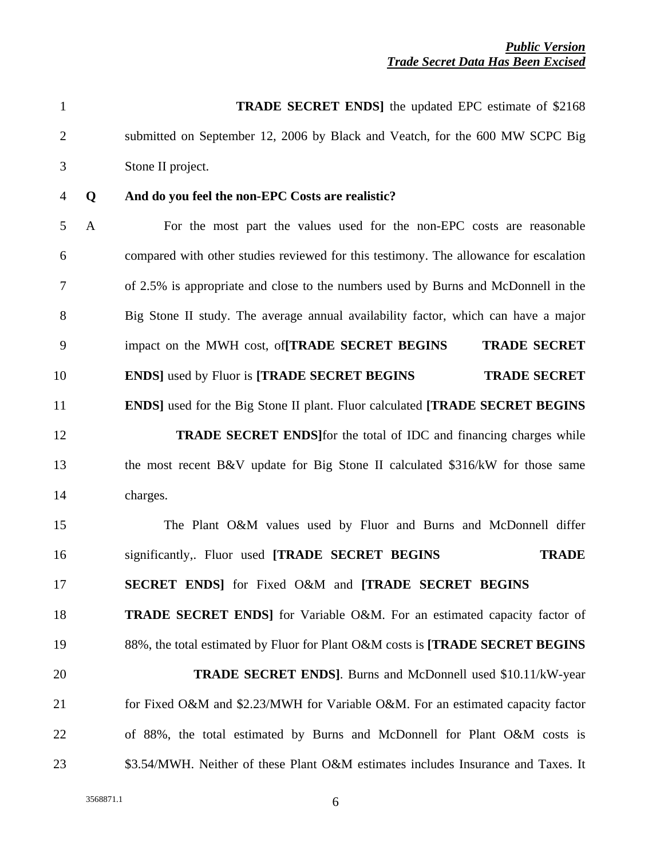| $\mathbf{1}$   |              | <b>TRADE SECRET ENDS</b> the updated EPC estimate of \$2168                           |
|----------------|--------------|---------------------------------------------------------------------------------------|
| $\overline{2}$ |              | submitted on September 12, 2006 by Black and Veatch, for the 600 MW SCPC Big          |
| 3              |              | Stone II project.                                                                     |
| 4              | Q            | And do you feel the non-EPC Costs are realistic?                                      |
| 5              | $\mathbf{A}$ | For the most part the values used for the non-EPC costs are reasonable                |
| 6              |              | compared with other studies reviewed for this testimony. The allowance for escalation |
| 7              |              | of 2.5% is appropriate and close to the numbers used by Burns and McDonnell in the    |
| 8              |              | Big Stone II study. The average annual availability factor, which can have a major    |
| 9              |              | impact on the MWH cost, of <b>TRADE SECRET BEGINS</b><br><b>TRADE SECRET</b>          |
| 10             |              | <b>ENDS</b> used by Fluor is <b>[TRADE SECRET BEGINS</b><br><b>TRADE SECRET</b>       |
| 11             |              | <b>ENDS</b> ] used for the Big Stone II plant. Fluor calculated [TRADE SECRET BEGINS  |
| 12             |              | <b>TRADE SECRET ENDS</b> for the total of IDC and financing charges while             |
| 13             |              | the most recent B&V update for Big Stone II calculated \$316/kW for those same        |
| 14             |              | charges.                                                                              |
| 15             |              | The Plant O&M values used by Fluor and Burns and McDonnell differ                     |
| 16             |              | significantly,. Fluor used [TRADE SECRET BEGINS<br><b>TRADE</b>                       |
| 17             |              | SECRET ENDS] for Fixed O&M and [TRADE SECRET BEGINS                                   |
| 18             |              | <b>TRADE SECRET ENDS</b> for Variable O&M. For an estimated capacity factor of        |
| 19             |              | 88%, the total estimated by Fluor for Plant O&M costs is [TRADE SECRET BEGINS         |
| 20             |              | <b>TRADE SECRET ENDS</b> ]. Burns and McDonnell used \$10.11/kW-year                  |
| 21             |              | for Fixed O&M and \$2.23/MWH for Variable O&M. For an estimated capacity factor       |
| 22             |              | of 88%, the total estimated by Burns and McDonnell for Plant O&M costs is             |
| 23             |              | \$3.54/MWH. Neither of these Plant O&M estimates includes Insurance and Taxes. It     |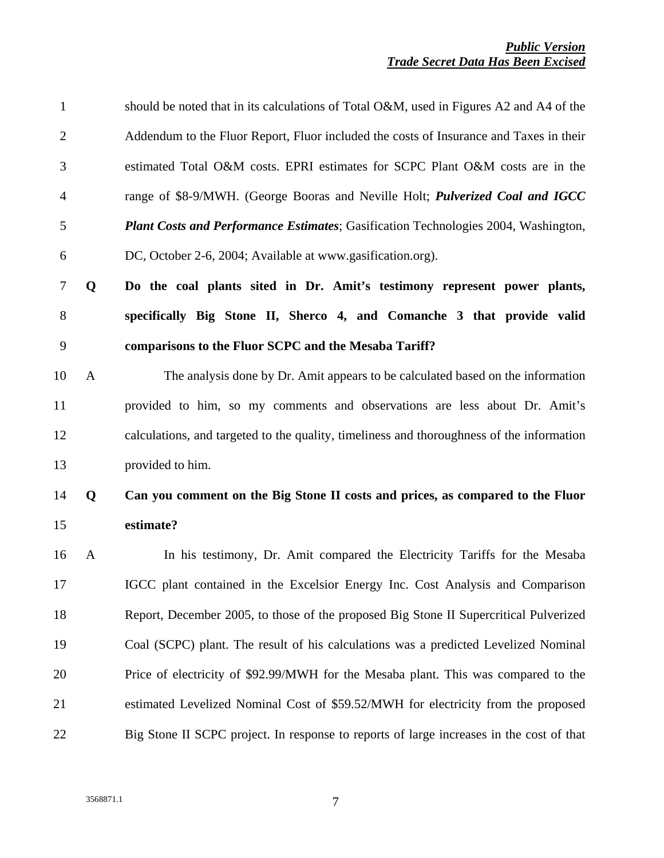| $\mathbf{1}$   |              | should be noted that in its calculations of Total O&M, used in Figures A2 and A4 of the   |
|----------------|--------------|-------------------------------------------------------------------------------------------|
| $\overline{2}$ |              | Addendum to the Fluor Report, Fluor included the costs of Insurance and Taxes in their    |
| 3              |              | estimated Total O&M costs. EPRI estimates for SCPC Plant O&M costs are in the             |
| 4              |              | range of \$8-9/MWH. (George Booras and Neville Holt; <i>Pulverized Coal and IGCC</i>      |
| 5              |              | <b>Plant Costs and Performance Estimates; Gasification Technologies 2004, Washington,</b> |
| 6              |              | DC, October 2-6, 2004; Available at www.gasification.org).                                |
| $\tau$         | Q            | Do the coal plants sited in Dr. Amit's testimony represent power plants,                  |
| $8\,$          |              | specifically Big Stone II, Sherco 4, and Comanche 3 that provide valid                    |
| 9              |              | comparisons to the Fluor SCPC and the Mesaba Tariff?                                      |
| 10             | $\mathbf{A}$ | The analysis done by Dr. Amit appears to be calculated based on the information           |
| 11             |              | provided to him, so my comments and observations are less about Dr. Amit's                |
| 12             |              | calculations, and targeted to the quality, timeliness and thoroughness of the information |
| 13             |              | provided to him.                                                                          |
| 14             | Q            | Can you comment on the Big Stone II costs and prices, as compared to the Fluor            |
| 15             |              | estimate?                                                                                 |
| 16             | A            | In his testimony, Dr. Amit compared the Electricity Tariffs for the Mesaba                |
| 17             |              | IGCC plant contained in the Excelsior Energy Inc. Cost Analysis and Comparison            |
| 18             |              | Report, December 2005, to those of the proposed Big Stone II Supercritical Pulverized     |
| 19             |              | Coal (SCPC) plant. The result of his calculations was a predicted Levelized Nominal       |
| 20             |              | Price of electricity of \$92.99/MWH for the Mesaba plant. This was compared to the        |
| 21             |              | estimated Levelized Nominal Cost of \$59.52/MWH for electricity from the proposed         |
| 22             |              | Big Stone II SCPC project. In response to reports of large increases in the cost of that  |
|                |              |                                                                                           |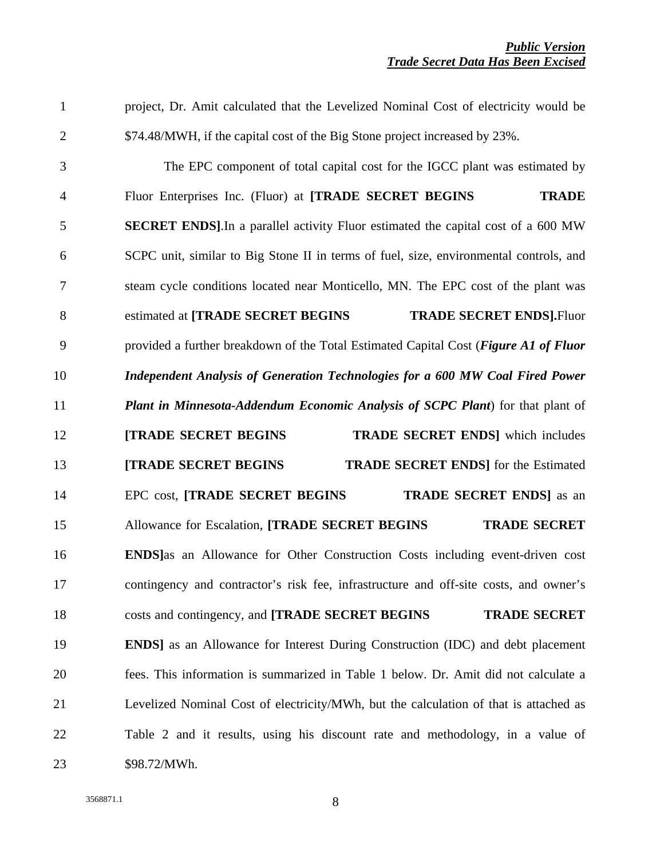1 project, Dr. Amit calculated that the Levelized Nominal Cost of electricity would be 2 \$74.48/MWH, if the capital cost of the Big Stone project increased by 23%. 3 The EPC component of total capital cost for the IGCC plant was estimated by 4 Fluor Enterprises Inc. (Fluor) at **[TRADE SECRET BEGINS TRADE** 5 **SECRET ENDS]**.In a parallel activity Fluor estimated the capital cost of a 600 MW 6 SCPC unit, similar to Big Stone II in terms of fuel, size, environmental controls, and 7 steam cycle conditions located near Monticello, MN. The EPC cost of the plant was 8 estimated at [TRADE SECRET BEGINS **TRADE SECRET ENDS**].Fluor 9 provided a further breakdown of the Total Estimated Capital Cost (*Figure A1 of Fluor*  10 *Independent Analysis of Generation Technologies for a 600 MW Coal Fired Power*  11 *Plant in Minnesota-Addendum Economic Analysis of SCPC Plant*) for that plant of 12 **ITRADE SECRET BEGINS TRADE SECRET ENDS** which includes 13 **[TRADE SECRET BEGINS TRADE SECRET ENDS**] for the Estimated 14 EPC cost, **[TRADE SECRET BEGINS TRADE SECRET ENDS**] as an 15 Allowance for Escalation, **[TRADE SECRET BEGINS** *TRADE SECRET* 16 **ENDS]**as an Allowance for Other Construction Costs including event-driven cost 17 contingency and contractor's risk fee, infrastructure and off-site costs, and owner's 18 costs and contingency, and **[TRADE SECRET BEGINS** *TRADE SECRET* 19 **ENDS]** as an Allowance for Interest During Construction (IDC) and debt placement 20 fees. This information is summarized in Table 1 below. Dr. Amit did not calculate a 21 Levelized Nominal Cost of electricity/MWh, but the calculation of that is attached as 22 Table 2 and it results, using his discount rate and methodology, in a value of 23 \$98.72/MWh.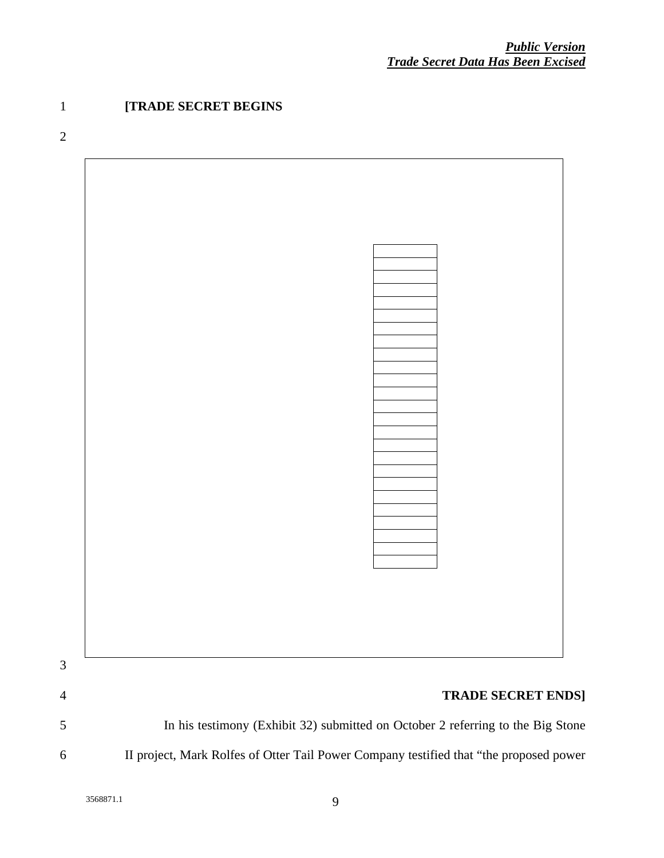### 1 **[TRADE SECRET BEGINS**

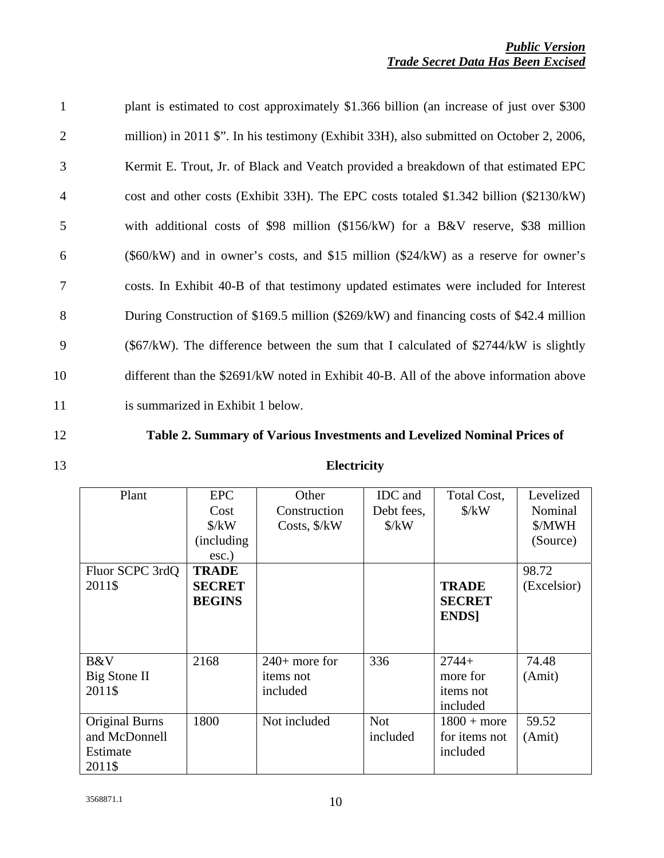| $\mathbf{1}$   | plant is estimated to cost approximately \$1.366 billion (an increase of just over \$300) |
|----------------|-------------------------------------------------------------------------------------------|
| 2              | million) in 2011 \$". In his testimony (Exhibit 33H), also submitted on October 2, 2006,  |
| 3              | Kermit E. Trout, Jr. of Black and Veatch provided a breakdown of that estimated EPC       |
| $\overline{4}$ | cost and other costs (Exhibit 33H). The EPC costs totaled \$1.342 billion (\$2130/kW)     |
| 5              | with additional costs of \$98 million $(\$156/kW)$ for a B&V reserve, \$38 million        |
| 6              | (\$60/kW) and in owner's costs, and \$15 million (\$24/kW) as a reserve for owner's       |
| 7              | costs. In Exhibit 40-B of that testimony updated estimates were included for Interest     |
| 8              | During Construction of \$169.5 million (\$269/kW) and financing costs of \$42.4 million   |
| 9              | $(\$67/kW)$ . The difference between the sum that I calculated of $\$2744/kW$ is slightly |
| 10             | different than the \$2691/kW noted in Exhibit 40-B. All of the above information above    |
| 11             | is summarized in Exhibit 1 below.                                                         |

- 
- 

### 12 **Table 2. Summary of Various Investments and Levelized Nominal Prices of**

| Plant                                                 | <b>EPC</b><br>Cost<br>$\frac{\text{S}}{\text{K}}$<br>(including) | Other<br>Construction<br>Costs, \$/kW           | <b>IDC</b> and<br>Debt fees,<br>$\frac{\text{S}}{\text{K}}$ | Total Cost,<br>$\frac{\text{S}}{\text{K}}$          | Levelized<br>Nominal<br>\$/MWH<br>(Source) |
|-------------------------------------------------------|------------------------------------------------------------------|-------------------------------------------------|-------------------------------------------------------------|-----------------------------------------------------|--------------------------------------------|
| Fluor SCPC 3rdQ<br>2011\$                             | $\csc.$ )<br><b>TRADE</b><br><b>SECRET</b><br><b>BEGINS</b>      |                                                 |                                                             | <b>TRADE</b><br><b>SECRET</b><br><b>ENDS</b>        | 98.72<br>(Excelsior)                       |
| B&V<br>Big Stone II<br>2011\$                         | 2168                                                             | $240+$ more for<br><i>items</i> not<br>included | 336                                                         | $2744+$<br>more for<br><i>items</i> not<br>included | 74.48<br>(Amit)                            |
| Original Burns<br>and McDonnell<br>Estimate<br>2011\$ | 1800                                                             | Not included                                    | <b>Not</b><br>included                                      | $1800 + more$<br>for items not<br>included          | 59.52<br>(Amit)                            |

13 **Electricity**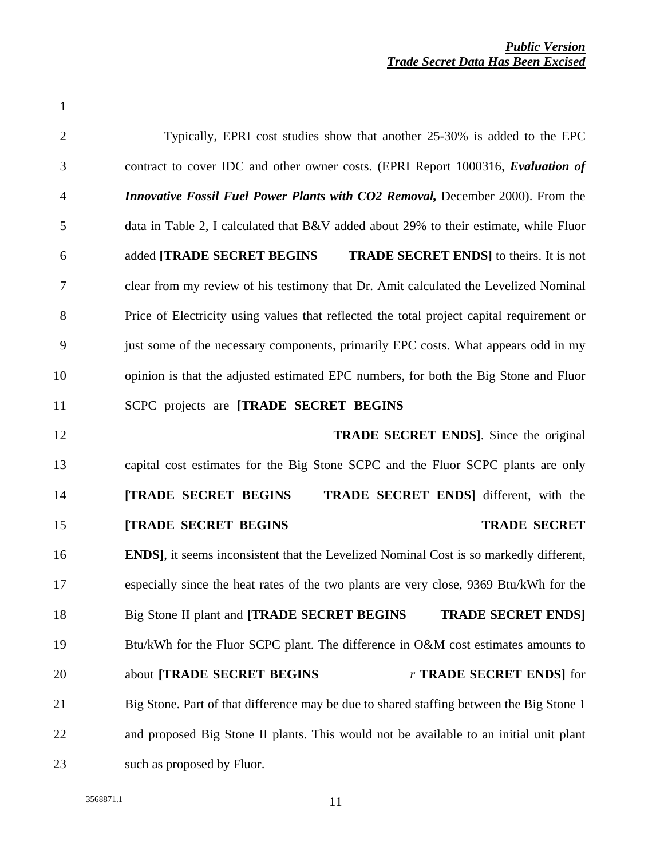| $\mathbf{1}$   |                                                                                                |
|----------------|------------------------------------------------------------------------------------------------|
| $\overline{2}$ | Typically, EPRI cost studies show that another 25-30% is added to the EPC                      |
| 3              | contract to cover IDC and other owner costs. (EPRI Report 1000316, Evaluation of               |
| $\overline{4}$ | <b>Innovative Fossil Fuel Power Plants with CO2 Removal, December 2000). From the</b>          |
| 5              | data in Table 2, I calculated that $B&V$ added about 29% to their estimate, while Fluor        |
| 6              | added [TRADE SECRET BEGINS]<br><b>TRADE SECRET ENDS</b> to theirs. It is not                   |
| 7              | clear from my review of his testimony that Dr. Amit calculated the Levelized Nominal           |
| 8              | Price of Electricity using values that reflected the total project capital requirement or      |
| 9              | just some of the necessary components, primarily EPC costs. What appears odd in my             |
| 10             | opinion is that the adjusted estimated EPC numbers, for both the Big Stone and Fluor           |
| 11             | SCPC projects are [TRADE SECRET BEGINS                                                         |
| 12             | <b>TRADE SECRET ENDS</b> ]. Since the original                                                 |
| 13             | capital cost estimates for the Big Stone SCPC and the Fluor SCPC plants are only               |
| 14             | <b>[TRADE SECRET BEGINS</b><br><b>TRADE SECRET ENDS</b> different, with the                    |
| 15             | <b>[TRADE SECRET BEGINS</b><br><b>TRADE SECRET</b>                                             |
| 16             | <b>ENDS</b> ], it seems inconsistent that the Levelized Nominal Cost is so markedly different, |
| 17             | especially since the heat rates of the two plants are very close, 9369 Btu/kWh for the         |
| 18             | Big Stone II plant and [TRADE SECRET BEGINS<br><b>TRADE SECRET ENDS]</b>                       |
| 19             | Btu/kWh for the Fluor SCPC plant. The difference in O&M cost estimates amounts to              |
| 20             | about [TRADE SECRET BEGINS<br>r TRADE SECRET ENDS] for                                         |
| 21             | Big Stone. Part of that difference may be due to shared staffing between the Big Stone 1       |
| 22             | and proposed Big Stone II plants. This would not be available to an initial unit plant         |
| 23             | such as proposed by Fluor.                                                                     |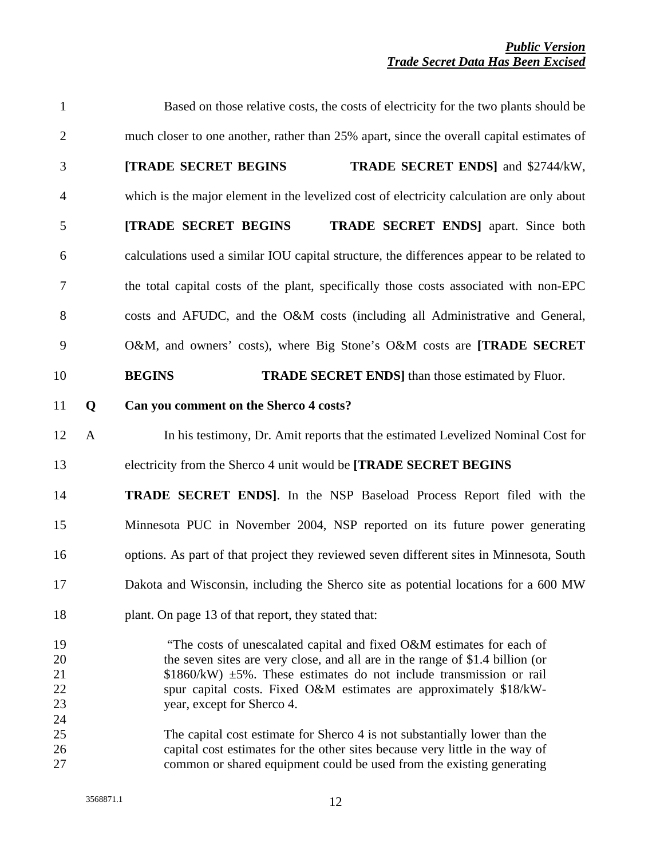| $\mathbf{1}$                           |              | Based on those relative costs, the costs of electricity for the two plants should be                                                                                                                                                                                                                                                                                                                                     |
|----------------------------------------|--------------|--------------------------------------------------------------------------------------------------------------------------------------------------------------------------------------------------------------------------------------------------------------------------------------------------------------------------------------------------------------------------------------------------------------------------|
| $\overline{2}$                         |              | much closer to one another, rather than 25% apart, since the overall capital estimates of                                                                                                                                                                                                                                                                                                                                |
| 3                                      |              | [TRADE SECRET BEGINS<br><b>TRADE SECRET ENDS</b> ] and \$2744/kW,                                                                                                                                                                                                                                                                                                                                                        |
| $\overline{4}$                         |              | which is the major element in the levelized cost of electricity calculation are only about                                                                                                                                                                                                                                                                                                                               |
| 5                                      |              | [TRADE SECRET BEGINS<br><b>TRADE SECRET ENDS</b> ] apart. Since both                                                                                                                                                                                                                                                                                                                                                     |
| 6                                      |              | calculations used a similar IOU capital structure, the differences appear to be related to                                                                                                                                                                                                                                                                                                                               |
| $\overline{7}$                         |              | the total capital costs of the plant, specifically those costs associated with non-EPC                                                                                                                                                                                                                                                                                                                                   |
| $8\,$                                  |              | costs and AFUDC, and the O&M costs (including all Administrative and General,                                                                                                                                                                                                                                                                                                                                            |
| 9                                      |              | O&M, and owners' costs), where Big Stone's O&M costs are [TRADE SECRET                                                                                                                                                                                                                                                                                                                                                   |
| 10                                     |              | <b>BEGINS</b><br><b>TRADE SECRET ENDS</b> than those estimated by Fluor.                                                                                                                                                                                                                                                                                                                                                 |
| 11                                     | Q            | Can you comment on the Sherco 4 costs?                                                                                                                                                                                                                                                                                                                                                                                   |
| 12                                     | $\mathbf{A}$ | In his testimony, Dr. Amit reports that the estimated Levelized Nominal Cost for                                                                                                                                                                                                                                                                                                                                         |
| 13                                     |              | electricity from the Sherco 4 unit would be [TRADE SECRET BEGINS                                                                                                                                                                                                                                                                                                                                                         |
| 14                                     |              | <b>TRADE SECRET ENDS</b> ]. In the NSP Baseload Process Report filed with the                                                                                                                                                                                                                                                                                                                                            |
| 15                                     |              | Minnesota PUC in November 2004, NSP reported on its future power generating                                                                                                                                                                                                                                                                                                                                              |
| 16                                     |              | options. As part of that project they reviewed seven different sites in Minnesota, South                                                                                                                                                                                                                                                                                                                                 |
| 17                                     |              | Dakota and Wisconsin, including the Sherco site as potential locations for a 600 MW                                                                                                                                                                                                                                                                                                                                      |
| 18                                     |              | plant. On page 13 of that report, they stated that:                                                                                                                                                                                                                                                                                                                                                                      |
| 19<br>20<br>21<br>22<br>23<br>24<br>25 |              | "The costs of unescalated capital and fixed O&M estimates for each of<br>the seven sites are very close, and all are in the range of \$1.4 billion (or<br>$$1860/kW$ ) $\pm 5\%$ . These estimates do not include transmission or rail<br>spur capital costs. Fixed O&M estimates are approximately \$18/kW-<br>year, except for Sherco 4.<br>The capital cost estimate for Sherco 4 is not substantially lower than the |
| 26<br>27                               |              | capital cost estimates for the other sites because very little in the way of<br>common or shared equipment could be used from the existing generating                                                                                                                                                                                                                                                                    |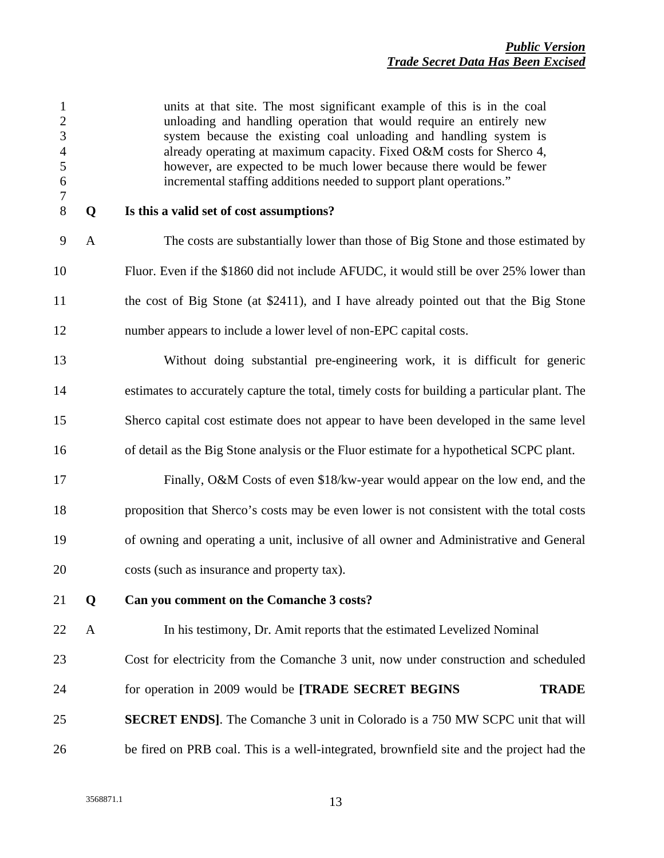| $\mathbf{1}$<br>$\mathbf{2}$<br>3<br>$\overline{4}$<br>5<br>$\boldsymbol{6}$<br>$\boldsymbol{7}$ |              | units at that site. The most significant example of this is in the coal<br>unloading and handling operation that would require an entirely new<br>system because the existing coal unloading and handling system is<br>already operating at maximum capacity. Fixed O&M costs for Sherco 4,<br>however, are expected to be much lower because there would be fewer<br>incremental staffing additions needed to support plant operations." |
|--------------------------------------------------------------------------------------------------|--------------|-------------------------------------------------------------------------------------------------------------------------------------------------------------------------------------------------------------------------------------------------------------------------------------------------------------------------------------------------------------------------------------------------------------------------------------------|
| $8\,$                                                                                            | Q            | Is this a valid set of cost assumptions?                                                                                                                                                                                                                                                                                                                                                                                                  |
| 9                                                                                                | $\mathbf{A}$ | The costs are substantially lower than those of Big Stone and those estimated by                                                                                                                                                                                                                                                                                                                                                          |
| 10                                                                                               |              | Fluor. Even if the \$1860 did not include AFUDC, it would still be over 25% lower than                                                                                                                                                                                                                                                                                                                                                    |
| 11                                                                                               |              | the cost of Big Stone (at \$2411), and I have already pointed out that the Big Stone                                                                                                                                                                                                                                                                                                                                                      |
| 12                                                                                               |              | number appears to include a lower level of non-EPC capital costs.                                                                                                                                                                                                                                                                                                                                                                         |
| 13                                                                                               |              | Without doing substantial pre-engineering work, it is difficult for generic                                                                                                                                                                                                                                                                                                                                                               |
| 14                                                                                               |              | estimates to accurately capture the total, timely costs for building a particular plant. The                                                                                                                                                                                                                                                                                                                                              |
| 15                                                                                               |              | Sherco capital cost estimate does not appear to have been developed in the same level                                                                                                                                                                                                                                                                                                                                                     |
| 16                                                                                               |              | of detail as the Big Stone analysis or the Fluor estimate for a hypothetical SCPC plant.                                                                                                                                                                                                                                                                                                                                                  |
| 17                                                                                               |              | Finally, O&M Costs of even \$18/kw-year would appear on the low end, and the                                                                                                                                                                                                                                                                                                                                                              |
| 18                                                                                               |              | proposition that Sherco's costs may be even lower is not consistent with the total costs                                                                                                                                                                                                                                                                                                                                                  |
| 19                                                                                               |              | of owning and operating a unit, inclusive of all owner and Administrative and General                                                                                                                                                                                                                                                                                                                                                     |
| 20                                                                                               |              | costs (such as insurance and property tax).                                                                                                                                                                                                                                                                                                                                                                                               |
| 21                                                                                               | Q            | Can you comment on the Comanche 3 costs?                                                                                                                                                                                                                                                                                                                                                                                                  |
| 22                                                                                               | A            | In his testimony, Dr. Amit reports that the estimated Levelized Nominal                                                                                                                                                                                                                                                                                                                                                                   |
| 23                                                                                               |              | Cost for electricity from the Comanche 3 unit, now under construction and scheduled                                                                                                                                                                                                                                                                                                                                                       |
| 24                                                                                               |              | for operation in 2009 would be [TRADE SECRET BEGINS<br><b>TRADE</b>                                                                                                                                                                                                                                                                                                                                                                       |
| 25                                                                                               |              | <b>SECRET ENDS</b> ]. The Comanche 3 unit in Colorado is a 750 MW SCPC unit that will                                                                                                                                                                                                                                                                                                                                                     |
| 26                                                                                               |              | be fired on PRB coal. This is a well-integrated, brownfield site and the project had the                                                                                                                                                                                                                                                                                                                                                  |
|                                                                                                  |              |                                                                                                                                                                                                                                                                                                                                                                                                                                           |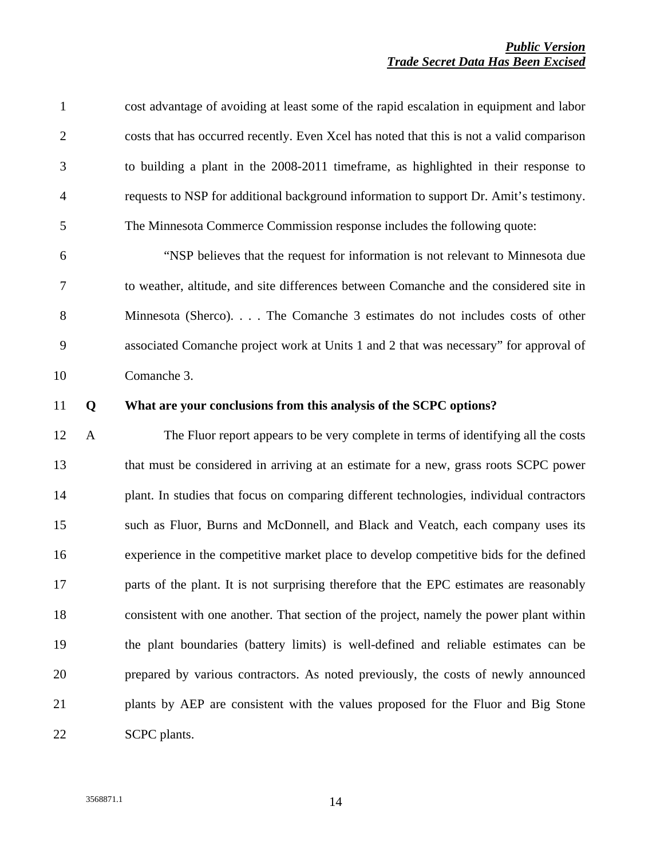| $\mathbf{1}$   |              | cost advantage of avoiding at least some of the rapid escalation in equipment and labor   |
|----------------|--------------|-------------------------------------------------------------------------------------------|
| $\overline{2}$ |              | costs that has occurred recently. Even Xcel has noted that this is not a valid comparison |
| 3              |              | to building a plant in the 2008-2011 timeframe, as highlighted in their response to       |
| $\overline{4}$ |              | requests to NSP for additional background information to support Dr. Amit's testimony.    |
| 5              |              | The Minnesota Commerce Commission response includes the following quote:                  |
| 6              |              | "NSP believes that the request for information is not relevant to Minnesota due           |
| 7              |              | to weather, altitude, and site differences between Comanche and the considered site in    |
| 8              |              | Minnesota (Sherco). The Comanche 3 estimates do not includes costs of other               |
| 9              |              | associated Comanche project work at Units 1 and 2 that was necessary" for approval of     |
| 10             |              | Comanche 3.                                                                               |
| 11             | Q            | What are your conclusions from this analysis of the SCPC options?                         |
|                |              |                                                                                           |
| 12             | $\mathbf{A}$ | The Fluor report appears to be very complete in terms of identifying all the costs        |
| 13             |              | that must be considered in arriving at an estimate for a new, grass roots SCPC power      |
| 14             |              | plant. In studies that focus on comparing different technologies, individual contractors  |
| 15             |              | such as Fluor, Burns and McDonnell, and Black and Veatch, each company uses its           |
| 16             |              | experience in the competitive market place to develop competitive bids for the defined    |
| 17             |              | parts of the plant. It is not surprising therefore that the EPC estimates are reasonably  |
| 18             |              | consistent with one another. That section of the project, namely the power plant within   |
| 19             |              | the plant boundaries (battery limits) is well-defined and reliable estimates can be       |
| 20             |              | prepared by various contractors. As noted previously, the costs of newly announced        |
| 21             |              | plants by AEP are consistent with the values proposed for the Fluor and Big Stone         |

3568871.1 14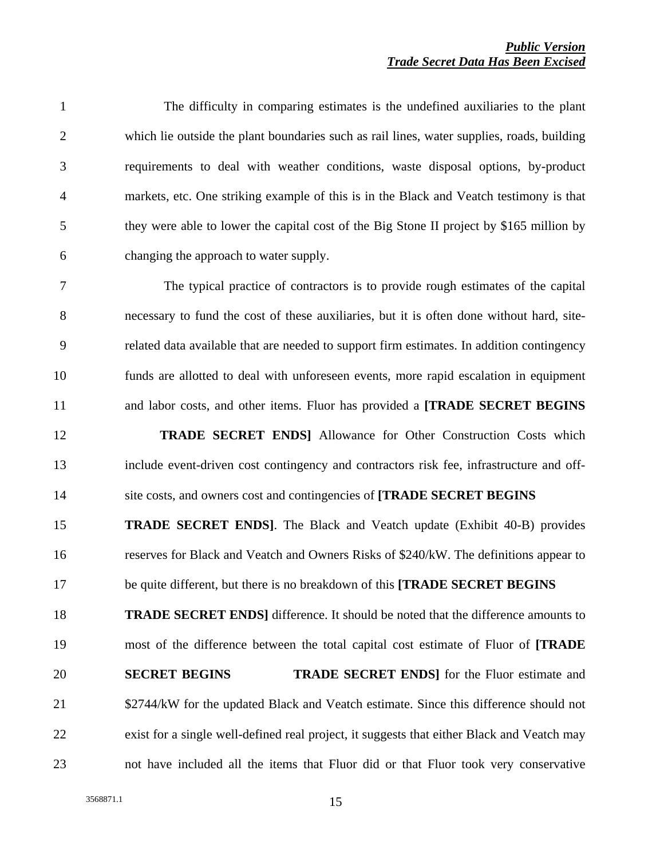1 The difficulty in comparing estimates is the undefined auxiliaries to the plant 2 which lie outside the plant boundaries such as rail lines, water supplies, roads, building 3 requirements to deal with weather conditions, waste disposal options, by-product 4 markets, etc. One striking example of this is in the Black and Veatch testimony is that 5 they were able to lower the capital cost of the Big Stone II project by \$165 million by 6 changing the approach to water supply.

7 The typical practice of contractors is to provide rough estimates of the capital 8 necessary to fund the cost of these auxiliaries, but it is often done without hard, site-9 related data available that are needed to support firm estimates. In addition contingency 10 funds are allotted to deal with unforeseen events, more rapid escalation in equipment 11 and labor costs, and other items. Fluor has provided a **[TRADE SECRET BEGINS**

12 **IRADE SECRET ENDS** Allowance for Other Construction Costs which 13 include event-driven cost contingency and contractors risk fee, infrastructure and off-14 site costs, and owners cost and contingencies of **[TRADE SECRET BEGINS** *\$666/kW*

15 **TRADE SECRET ENDS]**. The Black and Veatch update (Exhibit 40-B) provides 16 reserves for Black and Veatch and Owners Risks of \$240/kW. The definitions appear to 17 be quite different, but there is no breakdown of this **[TRADE SECRET BEGINS** 

18 **TRADE SECRET ENDS]** difference. It should be noted that the difference amounts to 19 most of the difference between the total capital cost estimate of Fluor of **[TRADE** 

20 **SECRET BEGINS TRADE SECRET ENDS** for the Fluor estimate and 21 \$2744/kW for the updated Black and Veatch estimate. Since this difference should not 22 exist for a single well-defined real project, it suggests that either Black and Veatch may 23 not have included all the items that Fluor did or that Fluor took very conservative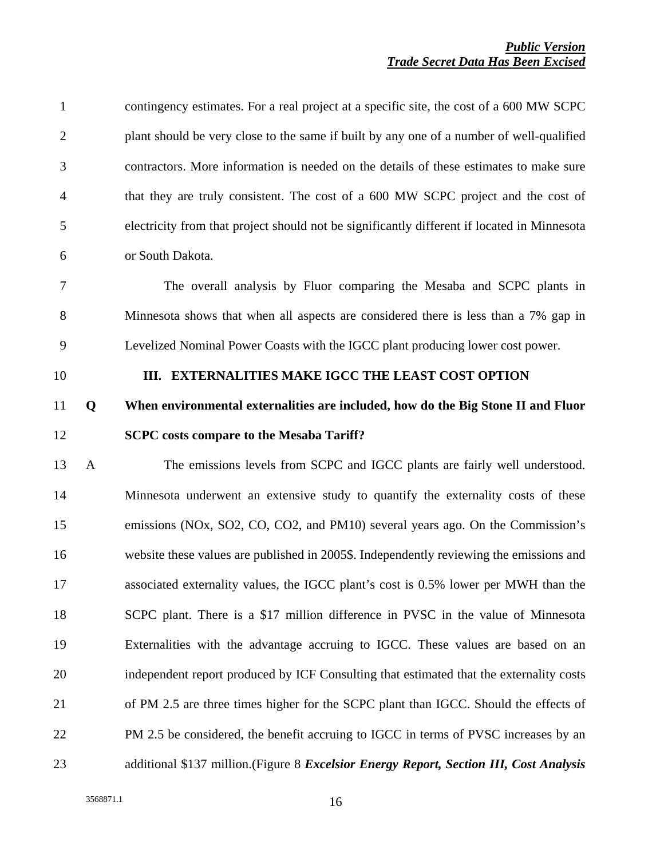| $\mathbf{1}$   |              | contingency estimates. For a real project at a specific site, the cost of a 600 MW SCPC     |
|----------------|--------------|---------------------------------------------------------------------------------------------|
| $\overline{c}$ |              | plant should be very close to the same if built by any one of a number of well-qualified    |
| 3              |              | contractors. More information is needed on the details of these estimates to make sure      |
| $\overline{4}$ |              | that they are truly consistent. The cost of a 600 MW SCPC project and the cost of           |
| 5              |              | electricity from that project should not be significantly different if located in Minnesota |
| 6              |              | or South Dakota.                                                                            |
| 7              |              | The overall analysis by Fluor comparing the Mesaba and SCPC plants in                       |
| 8              |              | Minnesota shows that when all aspects are considered there is less than a 7% gap in         |
| 9              |              | Levelized Nominal Power Coasts with the IGCC plant producing lower cost power.              |
| 10             |              | III. EXTERNALITIES MAKE IGCC THE LEAST COST OPTION                                          |
| 11             | Q            | When environmental externalities are included, how do the Big Stone II and Fluor            |
|                |              |                                                                                             |
| 12             |              | <b>SCPC</b> costs compare to the Mesaba Tariff?                                             |
| 13             | $\mathbf{A}$ | The emissions levels from SCPC and IGCC plants are fairly well understood.                  |
| 14             |              | Minnesota underwent an extensive study to quantify the externality costs of these           |
| 15             |              | emissions (NOx, SO2, CO, CO2, and PM10) several years ago. On the Commission's              |
| 16             |              | website these values are published in 2005\$. Independently reviewing the emissions and     |
| 17             |              | associated externality values, the IGCC plant's cost is 0.5% lower per MWH than the         |
| 18             |              | SCPC plant. There is a \$17 million difference in PVSC in the value of Minnesota            |
| 19             |              | Externalities with the advantage accruing to IGCC. These values are based on an             |
| 20             |              | independent report produced by ICF Consulting that estimated that the externality costs     |
| 21             |              | of PM 2.5 are three times higher for the SCPC plant than IGCC. Should the effects of        |
| 22             |              | PM 2.5 be considered, the benefit accruing to IGCC in terms of PVSC increases by an         |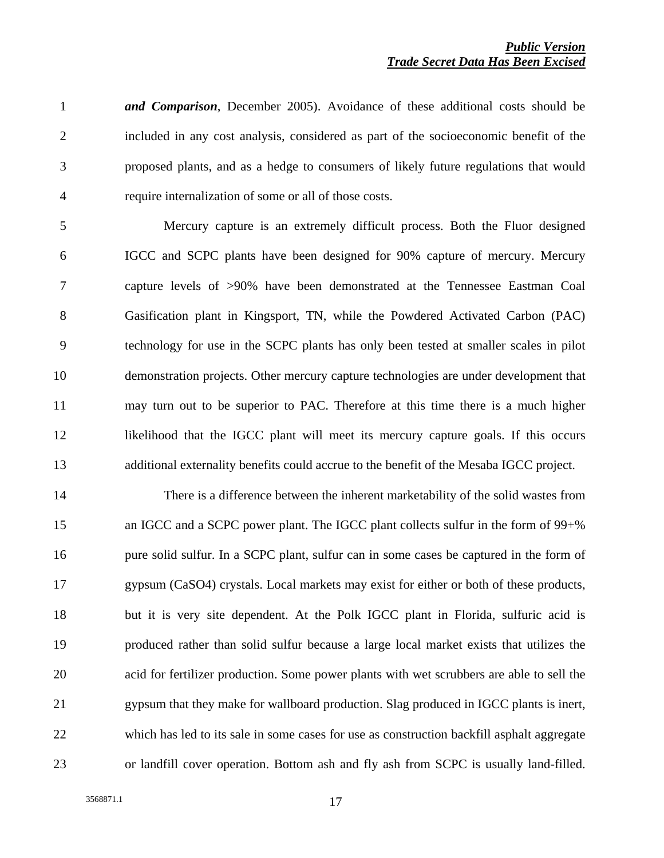1 *and Comparison*, December 2005). Avoidance of these additional costs should be 2 included in any cost analysis, considered as part of the socioeconomic benefit of the 3 proposed plants, and as a hedge to consumers of likely future regulations that would 4 require internalization of some or all of those costs.

5 Mercury capture is an extremely difficult process. Both the Fluor designed 6 IGCC and SCPC plants have been designed for 90% capture of mercury. Mercury 7 capture levels of >90% have been demonstrated at the Tennessee Eastman Coal 8 Gasification plant in Kingsport, TN, while the Powdered Activated Carbon (PAC) 9 technology for use in the SCPC plants has only been tested at smaller scales in pilot 10 demonstration projects. Other mercury capture technologies are under development that 11 may turn out to be superior to PAC. Therefore at this time there is a much higher 12 likelihood that the IGCC plant will meet its mercury capture goals. If this occurs 13 additional externality benefits could accrue to the benefit of the Mesaba IGCC project.

14 There is a difference between the inherent marketability of the solid wastes from 15 an IGCC and a SCPC power plant. The IGCC plant collects sulfur in the form of 99+% 16 pure solid sulfur. In a SCPC plant, sulfur can in some cases be captured in the form of 17 gypsum (CaSO4) crystals. Local markets may exist for either or both of these products, 18 but it is very site dependent. At the Polk IGCC plant in Florida, sulfuric acid is 19 produced rather than solid sulfur because a large local market exists that utilizes the 20 acid for fertilizer production. Some power plants with wet scrubbers are able to sell the 21 gypsum that they make for wallboard production. Slag produced in IGCC plants is inert, 22 which has led to its sale in some cases for use as construction backfill asphalt aggregate 23 or landfill cover operation. Bottom ash and fly ash from SCPC is usually land-filled.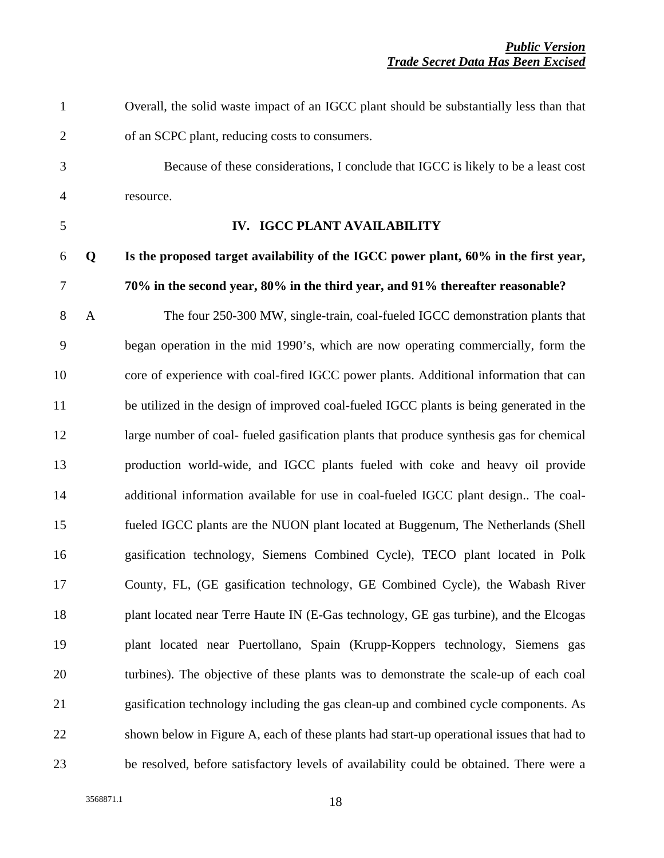1 Overall, the solid waste impact of an IGCC plant should be substantially less than that 2 of an SCPC plant, reducing costs to consumers.

3 Because of these considerations, I conclude that IGCC is likely to be a least cost 4 resource.

### 5 **IV. IGCC PLANT AVAILABILITY**

### 6 **Q Is the proposed target availability of the IGCC power plant, 60% in the first year,**  7 **70% in the second year, 80% in the third year, and 91% thereafter reasonable?**

8 A The four 250-300 MW, single-train, coal-fueled IGCC demonstration plants that 9 began operation in the mid 1990's, which are now operating commercially, form the 10 core of experience with coal-fired IGCC power plants. Additional information that can 11 be utilized in the design of improved coal-fueled IGCC plants is being generated in the 12 large number of coal- fueled gasification plants that produce synthesis gas for chemical 13 production world-wide, and IGCC plants fueled with coke and heavy oil provide 14 additional information available for use in coal-fueled IGCC plant design.. The coal-15 fueled IGCC plants are the NUON plant located at Buggenum, The Netherlands (Shell 16 gasification technology, Siemens Combined Cycle), TECO plant located in Polk 17 County, FL, (GE gasification technology, GE Combined Cycle), the Wabash River 18 plant located near Terre Haute IN (E-Gas technology, GE gas turbine), and the Elcogas 19 plant located near Puertollano, Spain (Krupp-Koppers technology, Siemens gas 20 turbines). The objective of these plants was to demonstrate the scale-up of each coal 21 gasification technology including the gas clean-up and combined cycle components. As 22 shown below in Figure A, each of these plants had start-up operational issues that had to 23 be resolved, before satisfactory levels of availability could be obtained. There were a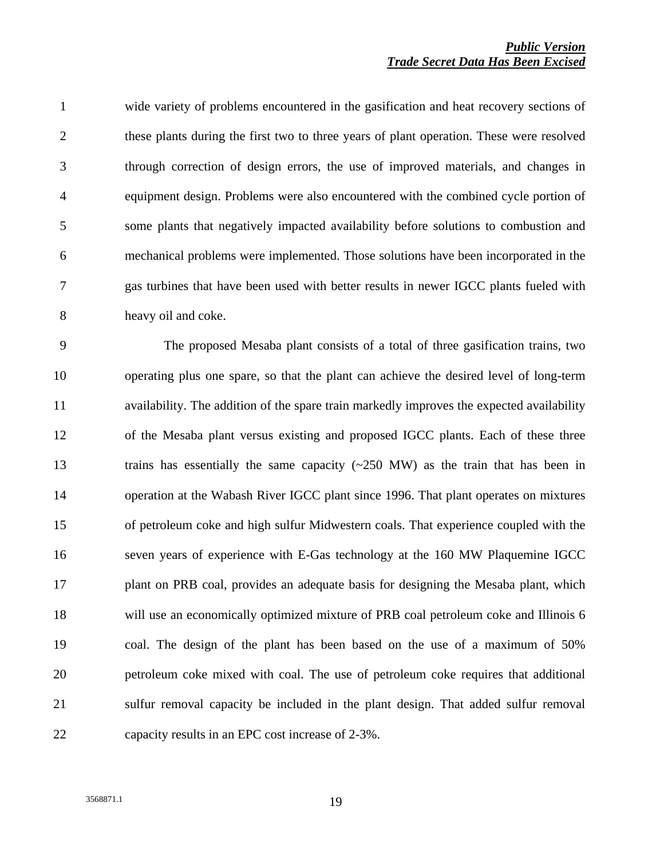1 wide variety of problems encountered in the gasification and heat recovery sections of 2 these plants during the first two to three years of plant operation. These were resolved 3 through correction of design errors, the use of improved materials, and changes in 4 equipment design. Problems were also encountered with the combined cycle portion of 5 some plants that negatively impacted availability before solutions to combustion and 6 mechanical problems were implemented. Those solutions have been incorporated in the 7 gas turbines that have been used with better results in newer IGCC plants fueled with 8 heavy oil and coke.

9 The proposed Mesaba plant consists of a total of three gasification trains, two 10 operating plus one spare, so that the plant can achieve the desired level of long-term 11 availability. The addition of the spare train markedly improves the expected availability 12 of the Mesaba plant versus existing and proposed IGCC plants. Each of these three 13 trains has essentially the same capacity (~250 MW) as the train that has been in 14 operation at the Wabash River IGCC plant since 1996. That plant operates on mixtures 15 of petroleum coke and high sulfur Midwestern coals. That experience coupled with the 16 seven years of experience with E-Gas technology at the 160 MW Plaquemine IGCC 17 plant on PRB coal, provides an adequate basis for designing the Mesaba plant, which 18 will use an economically optimized mixture of PRB coal petroleum coke and Illinois 6 19 coal. The design of the plant has been based on the use of a maximum of 50% 20 petroleum coke mixed with coal. The use of petroleum coke requires that additional 21 sulfur removal capacity be included in the plant design. That added sulfur removal 22 capacity results in an EPC cost increase of 2-3%.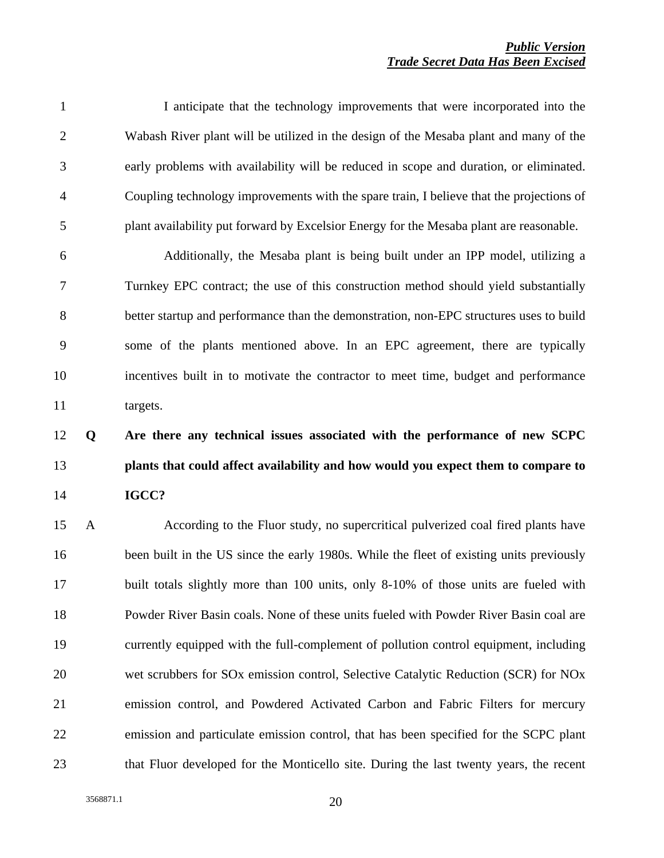|                | I anticipate that the technology improvements that were incorporated into the            |
|----------------|------------------------------------------------------------------------------------------|
| 2              | Wabash River plant will be utilized in the design of the Mesaba plant and many of the    |
| 3              | early problems with availability will be reduced in scope and duration, or eliminated.   |
| $\overline{4}$ | Coupling technology improvements with the spare train, I believe that the projections of |
| 5              | plant availability put forward by Excelsior Energy for the Mesaba plant are reasonable.  |

6 Additionally, the Mesaba plant is being built under an IPP model, utilizing a 7 Turnkey EPC contract; the use of this construction method should yield substantially 8 better startup and performance than the demonstration, non-EPC structures uses to build 9 some of the plants mentioned above. In an EPC agreement, there are typically 10 incentives built in to motivate the contractor to meet time, budget and performance 11 targets.

## 12 **Q Are there any technical issues associated with the performance of new SCPC**  13 **plants that could affect availability and how would you expect them to compare to**  14 **IGCC?**

15 A According to the Fluor study, no supercritical pulverized coal fired plants have 16 been built in the US since the early 1980s. While the fleet of existing units previously 17 built totals slightly more than 100 units, only 8-10% of those units are fueled with 18 Powder River Basin coals. None of these units fueled with Powder River Basin coal are 19 currently equipped with the full-complement of pollution control equipment, including 20 wet scrubbers for SOx emission control, Selective Catalytic Reduction (SCR) for NOx 21 emission control, and Powdered Activated Carbon and Fabric Filters for mercury 22 emission and particulate emission control, that has been specified for the SCPC plant 23 that Fluor developed for the Monticello site. During the last twenty years, the recent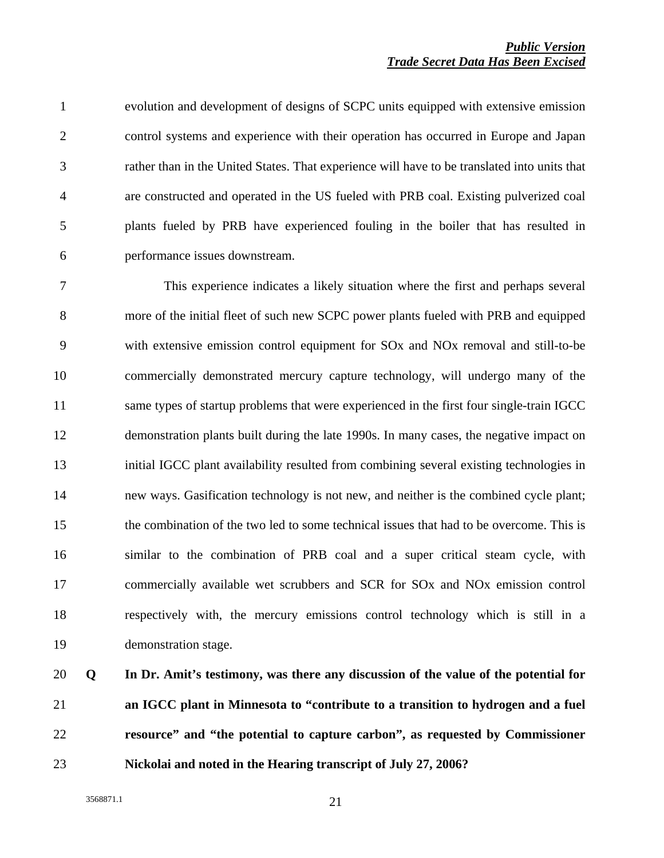1 evolution and development of designs of SCPC units equipped with extensive emission 2 control systems and experience with their operation has occurred in Europe and Japan 3 rather than in the United States. That experience will have to be translated into units that 4 are constructed and operated in the US fueled with PRB coal. Existing pulverized coal 5 plants fueled by PRB have experienced fouling in the boiler that has resulted in 6 performance issues downstream.

7 This experience indicates a likely situation where the first and perhaps several 8 more of the initial fleet of such new SCPC power plants fueled with PRB and equipped 9 with extensive emission control equipment for SOx and NOx removal and still-to-be 10 commercially demonstrated mercury capture technology, will undergo many of the 11 same types of startup problems that were experienced in the first four single-train IGCC 12 demonstration plants built during the late 1990s. In many cases, the negative impact on 13 initial IGCC plant availability resulted from combining several existing technologies in 14 new ways. Gasification technology is not new, and neither is the combined cycle plant; 15 the combination of the two led to some technical issues that had to be overcome. This is 16 similar to the combination of PRB coal and a super critical steam cycle, with 17 commercially available wet scrubbers and SCR for SOx and NOx emission control 18 respectively with, the mercury emissions control technology which is still in a 19 demonstration stage.

**Q In Dr. Amit's testimony, was there any discussion of the value of the potential for an IGCC plant in Minnesota to "contribute to a transition to hydrogen and a fuel resource" and "the potential to capture carbon", as requested by Commissioner Nickolai and noted in the Hearing transcript of July 27, 2006?**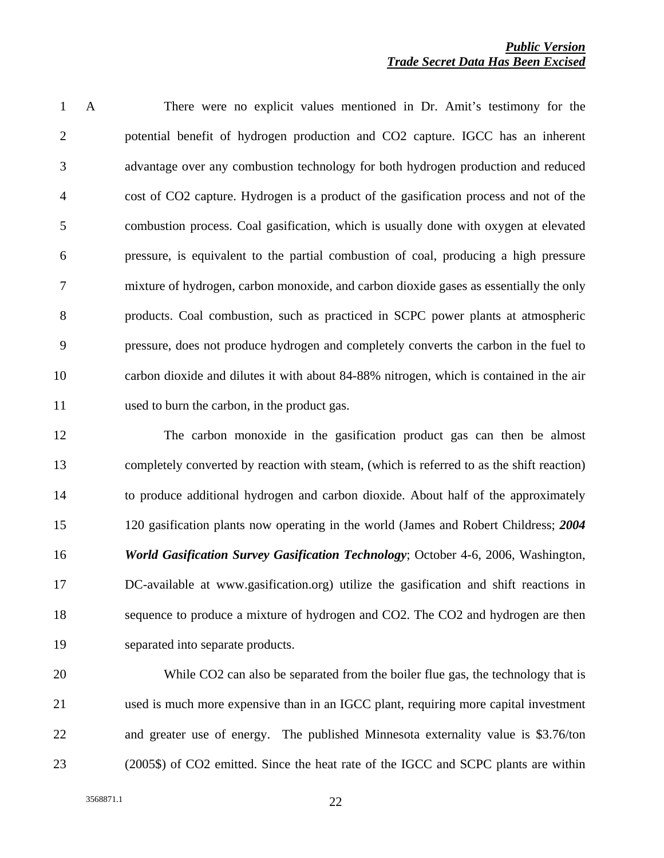1 A There were no explicit values mentioned in Dr. Amit's testimony for the 2 potential benefit of hydrogen production and CO2 capture. IGCC has an inherent 3 advantage over any combustion technology for both hydrogen production and reduced 4 cost of CO2 capture. Hydrogen is a product of the gasification process and not of the 5 combustion process. Coal gasification, which is usually done with oxygen at elevated 6 pressure, is equivalent to the partial combustion of coal, producing a high pressure 7 mixture of hydrogen, carbon monoxide, and carbon dioxide gases as essentially the only 8 products. Coal combustion, such as practiced in SCPC power plants at atmospheric 9 pressure, does not produce hydrogen and completely converts the carbon in the fuel to 10 carbon dioxide and dilutes it with about 84-88% nitrogen, which is contained in the air 11 used to burn the carbon, in the product gas.

12 The carbon monoxide in the gasification product gas can then be almost 13 completely converted by reaction with steam, (which is referred to as the shift reaction) 14 to produce additional hydrogen and carbon dioxide. About half of the approximately 15 120 gasification plants now operating in the world (James and Robert Childress; *2004*  16 *World Gasification Survey Gasification Technology*; October 4-6, 2006, Washington, 17 DC-available at www.gasification.org) utilize the gasification and shift reactions in 18 sequence to produce a mixture of hydrogen and CO2. The CO2 and hydrogen are then 19 separated into separate products.

20 While CO2 can also be separated from the boiler flue gas, the technology that is 21 used is much more expensive than in an IGCC plant, requiring more capital investment 22 and greater use of energy. The published Minnesota externality value is \$3.76/ton 23 (2005\$) of CO2 emitted. Since the heat rate of the IGCC and SCPC plants are within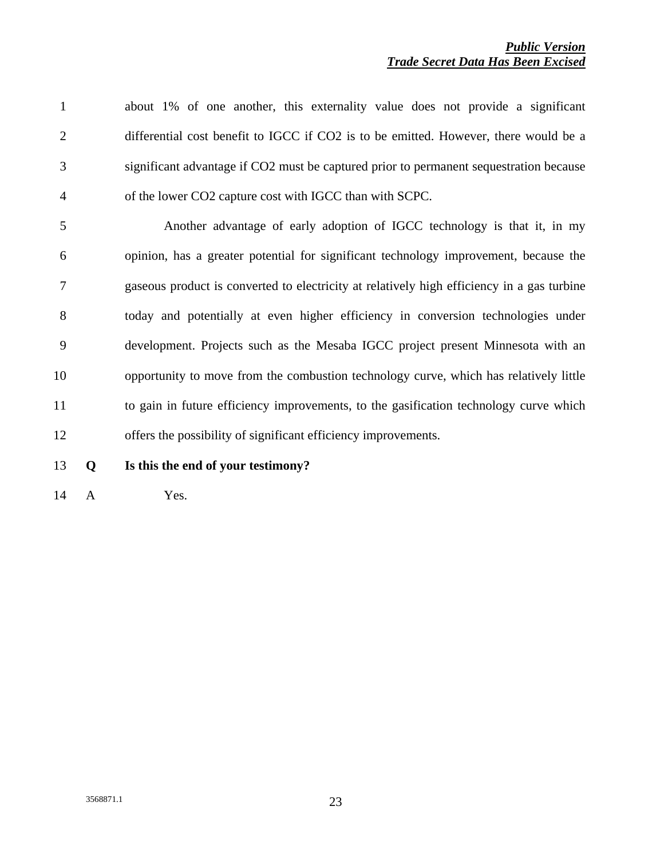1 about 1% of one another, this externality value does not provide a significant 2 differential cost benefit to IGCC if CO2 is to be emitted. However, there would be a 3 significant advantage if CO2 must be captured prior to permanent sequestration because 4 of the lower CO2 capture cost with IGCC than with SCPC. 5 Another advantage of early adoption of IGCC technology is that it, in my 6 opinion, has a greater potential for significant technology improvement, because the 7 gaseous product is converted to electricity at relatively high efficiency in a gas turbine 8 today and potentially at even higher efficiency in conversion technologies under 9 development. Projects such as the Mesaba IGCC project present Minnesota with an 10 opportunity to move from the combustion technology curve, which has relatively little 11 to gain in future efficiency improvements, to the gasification technology curve which 12 offers the possibility of significant efficiency improvements.

13 **Q Is this the end of your testimony?** 

14 AYes.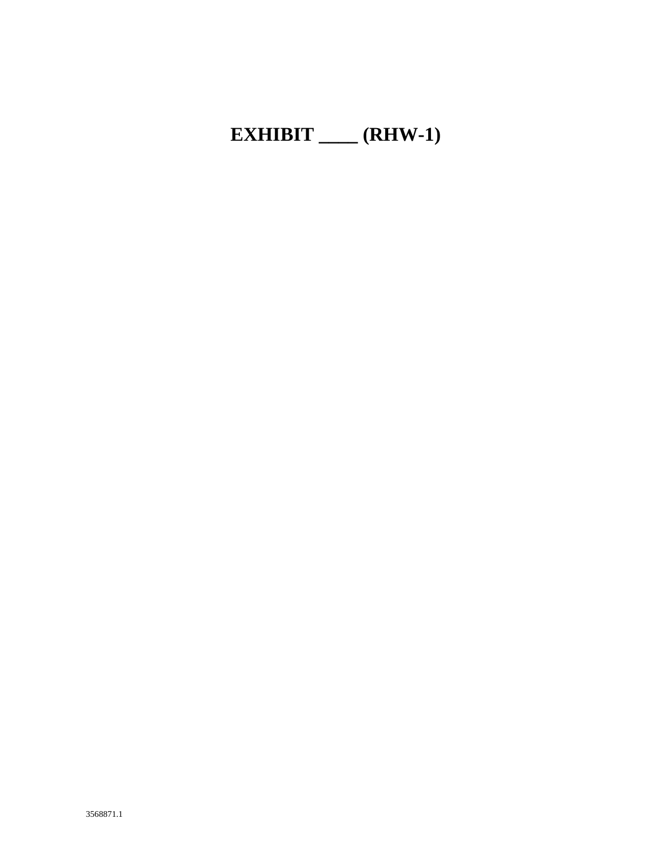# **EXHIBIT \_\_\_\_ (RHW-1)**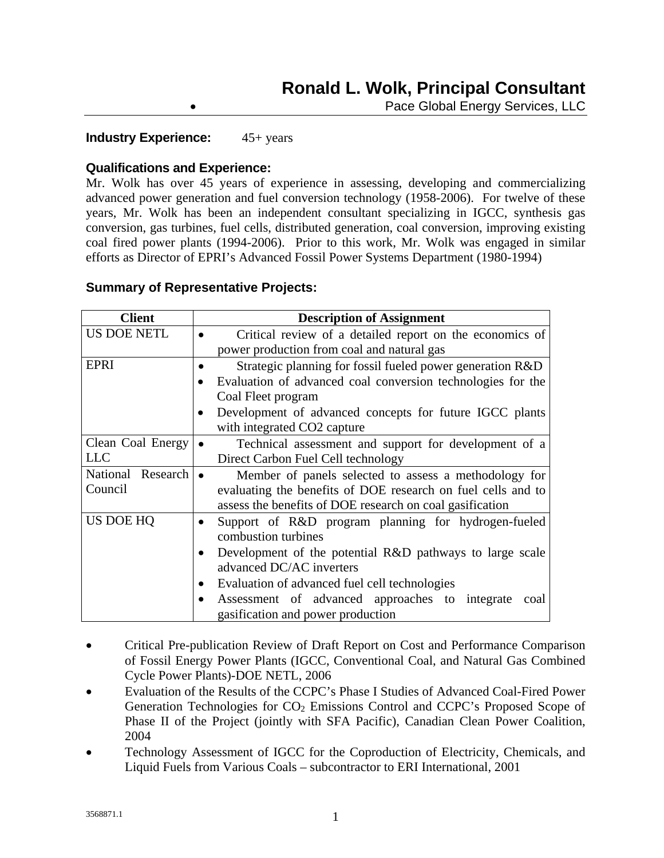Pace Global Energy Services, LLC

### **Industry Experience:** 45+ years

### **Qualifications and Experience:**

Mr. Wolk has over 45 years of experience in assessing, developing and commercializing advanced power generation and fuel conversion technology (1958-2006). For twelve of these years, Mr. Wolk has been an independent consultant specializing in IGCC, synthesis gas conversion, gas turbines, fuel cells, distributed generation, coal conversion, improving existing coal fired power plants (1994-2006). Prior to this work, Mr. Wolk was engaged in similar efforts as Director of EPRI's Advanced Fossil Power Systems Department (1980-1994)

### **Summary of Representative Projects:**

| <b>Client</b>         | <b>Description of Assignment</b>                                           |  |  |
|-----------------------|----------------------------------------------------------------------------|--|--|
| <b>US DOE NETL</b>    | Critical review of a detailed report on the economics of                   |  |  |
|                       | power production from coal and natural gas                                 |  |  |
| <b>EPRI</b>           | Strategic planning for fossil fueled power generation R&D                  |  |  |
|                       | Evaluation of advanced coal conversion technologies for the                |  |  |
|                       | Coal Fleet program                                                         |  |  |
|                       | Development of advanced concepts for future IGCC plants                    |  |  |
|                       | with integrated CO2 capture                                                |  |  |
| Clean Coal Energy     | Technical assessment and support for development of a                      |  |  |
| <b>LLC</b>            | Direct Carbon Fuel Cell technology                                         |  |  |
| National Research   • | Member of panels selected to assess a methodology for                      |  |  |
| Council               | evaluating the benefits of DOE research on fuel cells and to               |  |  |
|                       | assess the benefits of DOE research on coal gasification                   |  |  |
| US DOE HQ             | Support of R&D program planning for hydrogen-fueled<br>combustion turbines |  |  |
|                       | Development of the potential R&D pathways to large scale                   |  |  |
|                       | advanced DC/AC inverters                                                   |  |  |
|                       | Evaluation of advanced fuel cell technologies                              |  |  |
|                       | Assessment of advanced approaches to integrate<br>coal                     |  |  |
|                       | gasification and power production                                          |  |  |

- Critical Pre-publication Review of Draft Report on Cost and Performance Comparison of Fossil Energy Power Plants (IGCC, Conventional Coal, and Natural Gas Combined Cycle Power Plants)-DOE NETL, 2006
- Evaluation of the Results of the CCPC's Phase I Studies of Advanced Coal-Fired Power Generation Technologies for  $CO<sub>2</sub>$  Emissions Control and CCPC's Proposed Scope of Phase II of the Project (jointly with SFA Pacific), Canadian Clean Power Coalition, 2004
- Technology Assessment of IGCC for the Coproduction of Electricity, Chemicals, and Liquid Fuels from Various Coals – subcontractor to ERI International, 2001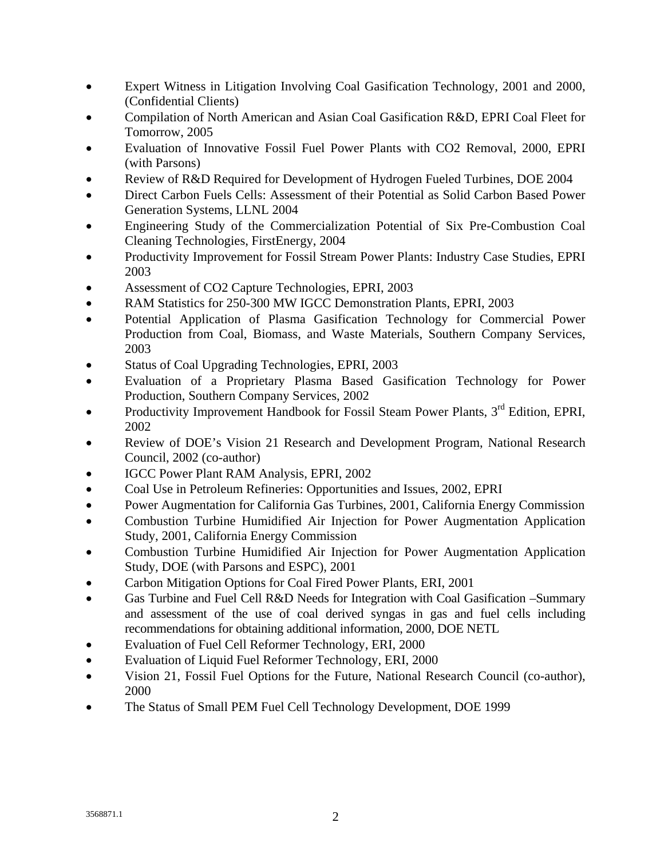- Expert Witness in Litigation Involving Coal Gasification Technology, 2001 and 2000, (Confidential Clients)
- Compilation of North American and Asian Coal Gasification R&D, EPRI Coal Fleet for Tomorrow, 2005
- Evaluation of Innovative Fossil Fuel Power Plants with CO2 Removal, 2000, EPRI (with Parsons)
- Review of R&D Required for Development of Hydrogen Fueled Turbines, DOE 2004
- Direct Carbon Fuels Cells: Assessment of their Potential as Solid Carbon Based Power Generation Systems, LLNL 2004
- Engineering Study of the Commercialization Potential of Six Pre-Combustion Coal Cleaning Technologies, FirstEnergy, 2004
- Productivity Improvement for Fossil Stream Power Plants: Industry Case Studies, EPRI 2003
- Assessment of CO2 Capture Technologies, EPRI, 2003
- RAM Statistics for 250-300 MW IGCC Demonstration Plants, EPRI, 2003
- Potential Application of Plasma Gasification Technology for Commercial Power Production from Coal, Biomass, and Waste Materials, Southern Company Services, 2003
- Status of Coal Upgrading Technologies, EPRI, 2003
- Evaluation of a Proprietary Plasma Based Gasification Technology for Power Production, Southern Company Services, 2002
- Productivity Improvement Handbook for Fossil Steam Power Plants, 3<sup>rd</sup> Edition, EPRI, 2002
- Review of DOE's Vision 21 Research and Development Program, National Research Council, 2002 (co-author)
- IGCC Power Plant RAM Analysis, EPRI, 2002
- Coal Use in Petroleum Refineries: Opportunities and Issues, 2002, EPRI
- Power Augmentation for California Gas Turbines, 2001, California Energy Commission
- Combustion Turbine Humidified Air Injection for Power Augmentation Application Study, 2001, California Energy Commission
- Combustion Turbine Humidified Air Injection for Power Augmentation Application Study, DOE (with Parsons and ESPC), 2001
- Carbon Mitigation Options for Coal Fired Power Plants, ERI, 2001
- Gas Turbine and Fuel Cell R&D Needs for Integration with Coal Gasification –Summary and assessment of the use of coal derived syngas in gas and fuel cells including recommendations for obtaining additional information, 2000, DOE NETL
- Evaluation of Fuel Cell Reformer Technology, ERI, 2000
- Evaluation of Liquid Fuel Reformer Technology, ERI, 2000
- Vision 21, Fossil Fuel Options for the Future, National Research Council (co-author), 2000
- The Status of Small PEM Fuel Cell Technology Development, DOE 1999